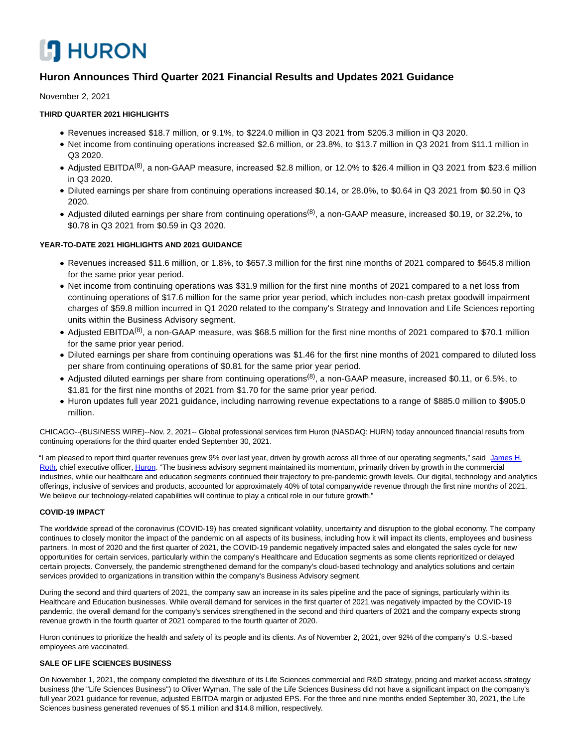# **L'I** HURON

# **Huron Announces Third Quarter 2021 Financial Results and Updates 2021 Guidance**

November 2, 2021

#### **THIRD QUARTER 2021 HIGHLIGHTS**

- Revenues increased \$18.7 million, or 9.1%, to \$224.0 million in Q3 2021 from \$205.3 million in Q3 2020.
- Net income from continuing operations increased \$2.6 million, or 23.8%, to \$13.7 million in Q3 2021 from \$11.1 million in Q3 2020.
- Adjusted EBITDA<sup>(8)</sup>, a non-GAAP measure, increased \$2.8 million, or 12.0% to \$26.4 million in Q3 2021 from \$23.6 million in Q3 2020.
- Diluted earnings per share from continuing operations increased \$0.14, or 28.0%, to \$0.64 in Q3 2021 from \$0.50 in Q3 2020.
- Adjusted diluted earnings per share from continuing operations(8), a non-GAAP measure, increased \$0.19, or 32.2%, to \$0.78 in Q3 2021 from \$0.59 in Q3 2020.

#### **YEAR-TO-DATE 2021 HIGHLIGHTS AND 2021 GUIDANCE**

- Revenues increased \$11.6 million, or 1.8%, to \$657.3 million for the first nine months of 2021 compared to \$645.8 million for the same prior year period.
- Net income from continuing operations was \$31.9 million for the first nine months of 2021 compared to a net loss from continuing operations of \$17.6 million for the same prior year period, which includes non-cash pretax goodwill impairment charges of \$59.8 million incurred in Q1 2020 related to the company's Strategy and Innovation and Life Sciences reporting units within the Business Advisory segment.
- Adjusted EBITDA<sup>(8)</sup>, a non-GAAP measure, was \$68.5 million for the first nine months of 2021 compared to \$70.1 million for the same prior year period.
- Diluted earnings per share from continuing operations was \$1.46 for the first nine months of 2021 compared to diluted loss per share from continuing operations of \$0.81 for the same prior year period.
- Adjusted diluted earnings per share from continuing operations<sup>(8)</sup>, a non-GAAP measure, increased \$0.11, or 6.5%, to \$1.81 for the first nine months of 2021 from \$1.70 for the same prior year period.
- Huron updates full year 2021 guidance, including narrowing revenue expectations to a range of \$885.0 million to \$905.0 million.

CHICAGO--(BUSINESS WIRE)--Nov. 2, 2021-- Global professional services firm Huron (NASDAQ: HURN) today announced financial results from continuing operations for the third quarter ended September 30, 2021.

"I am pleased to report third quarter revenues grew 9% over last year, driven by growth across all three of our operating segments," said [James H.](https://cts.businesswire.com/ct/CT?id=smartlink&url=https%3A%2F%2Fwww.huronconsultinggroup.com%2Fcompany%2Fexperts%2Femployees%2Fjim-roth%3FPractice%3Dabout-us&esheet=52519705&newsitemid=20211102006210&lan=en-US&anchor=James+H.+Roth&index=1&md5=2cd8768ef4dd08b99a504155004f3d38) Roth, chief executive officer[, Huron.](https://cts.businesswire.com/ct/CT?id=smartlink&url=https%3A%2F%2Fwww.huronconsultinggroup.com%2F&esheet=52519705&newsitemid=20211102006210&lan=en-US&anchor=Huron&index=2&md5=4b9416f0aa88796662ed27142b8f6403) "The business advisory segment maintained its momentum, primarily driven by growth in the commercial industries, while our healthcare and education segments continued their trajectory to pre-pandemic growth levels. Our digital, technology and analytics offerings, inclusive of services and products, accounted for approximately 40% of total companywide revenue through the first nine months of 2021. We believe our technology-related capabilities will continue to play a critical role in our future growth."

#### **COVID-19 IMPACT**

The worldwide spread of the coronavirus (COVID-19) has created significant volatility, uncertainty and disruption to the global economy. The company continues to closely monitor the impact of the pandemic on all aspects of its business, including how it will impact its clients, employees and business partners. In most of 2020 and the first quarter of 2021, the COVID-19 pandemic negatively impacted sales and elongated the sales cycle for new opportunities for certain services, particularly within the company's Healthcare and Education segments as some clients reprioritized or delayed certain projects. Conversely, the pandemic strengthened demand for the company's cloud-based technology and analytics solutions and certain services provided to organizations in transition within the company's Business Advisory segment.

During the second and third quarters of 2021, the company saw an increase in its sales pipeline and the pace of signings, particularly within its Healthcare and Education businesses. While overall demand for services in the first quarter of 2021 was negatively impacted by the COVID-19 pandemic, the overall demand for the company's services strengthened in the second and third quarters of 2021 and the company expects strong revenue growth in the fourth quarter of 2021 compared to the fourth quarter of 2020.

Huron continues to prioritize the health and safety of its people and its clients. As of November 2, 2021, over 92% of the company's U.S.-based employees are vaccinated.

#### **SALE OF LIFE SCIENCES BUSINESS**

On November 1, 2021, the company completed the divestiture of its Life Sciences commercial and R&D strategy, pricing and market access strategy business (the "Life Sciences Business") to Oliver Wyman. The sale of the Life Sciences Business did not have a significant impact on the company's full year 2021 guidance for revenue, adjusted EBITDA margin or adjusted EPS. For the three and nine months ended September 30, 2021, the Life Sciences business generated revenues of \$5.1 million and \$14.8 million, respectively.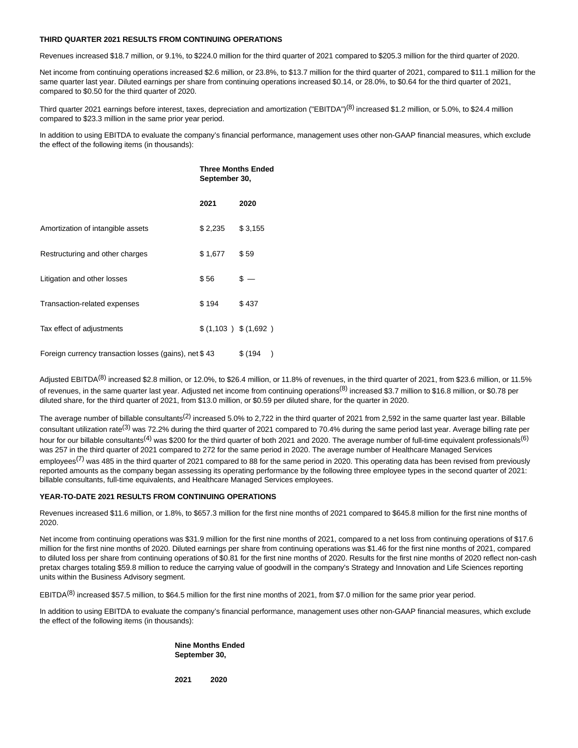#### **THIRD QUARTER 2021 RESULTS FROM CONTINUING OPERATIONS**

Revenues increased \$18.7 million, or 9.1%, to \$224.0 million for the third quarter of 2021 compared to \$205.3 million for the third quarter of 2020.

Net income from continuing operations increased \$2.6 million, or 23.8%, to \$13.7 million for the third quarter of 2021, compared to \$11.1 million for the same quarter last year. Diluted earnings per share from continuing operations increased \$0.14, or 28.0%, to \$0.64 for the third quarter of 2021, compared to \$0.50 for the third quarter of 2020.

Third quarter 2021 earnings before interest, taxes, depreciation and amortization ("EBITDA")<sup>(8)</sup> increased \$1.2 million, or 5.0%, to \$24.4 million compared to \$23.3 million in the same prior year period.

In addition to using EBITDA to evaluate the company's financial performance, management uses other non-GAAP financial measures, which exclude the effect of the following items (in thousands):

|                                                       | <b>Three Months Ended</b><br>September 30, |                          |  |  |
|-------------------------------------------------------|--------------------------------------------|--------------------------|--|--|
|                                                       | 2021                                       | 2020                     |  |  |
| Amortization of intangible assets                     | \$2,235                                    | \$3,155                  |  |  |
| Restructuring and other charges                       | \$1,677                                    | \$59                     |  |  |
| Litigation and other losses                           | \$56                                       | $s -$                    |  |  |
| Transaction-related expenses                          | \$194                                      | \$437                    |  |  |
| Tax effect of adjustments                             | $$(1,103)$ $$(1,692)$                      |                          |  |  |
| Foreign currency transaction losses (gains), net \$43 |                                            | \$ (194<br>$\rightarrow$ |  |  |

Adjusted EBITDA<sup>(8)</sup> increased \$2.8 million, or 12.0%, to \$26.4 million, or 11.8% of revenues, in the third quarter of 2021, from \$23.6 million, or 11.5% of revenues, in the same quarter last year. Adjusted net income from continuing operations<sup>(8)</sup> increased \$3.7 million to \$16.8 million, or \$0.78 per diluted share, for the third quarter of 2021, from \$13.0 million, or \$0.59 per diluted share, for the quarter in 2020.

The average number of billable consultants<sup>(2)</sup> increased 5.0% to 2,722 in the third quarter of 2021 from 2,592 in the same quarter last year. Billable consultant utilization rate<sup>(3)</sup> was 72.2% during the third quarter of 2021 compared to 70.4% during the same period last year. Average billing rate per hour for our billable consultants<sup>(4)</sup> was \$200 for the third quarter of both 2021 and 2020. The average number of full-time equivalent professionals<sup>(6)</sup> was 257 in the third quarter of 2021 compared to 272 for the same period in 2020. The average number of Healthcare Managed Services employees<sup>(7)</sup> was 485 in the third quarter of 2021 compared to 88 for the same period in 2020. This operating data has been revised from previously reported amounts as the company began assessing its operating performance by the following three employee types in the second quarter of 2021: billable consultants, full-time equivalents, and Healthcare Managed Services employees.

#### **YEAR-TO-DATE 2021 RESULTS FROM CONTINUING OPERATIONS**

Revenues increased \$11.6 million, or 1.8%, to \$657.3 million for the first nine months of 2021 compared to \$645.8 million for the first nine months of 2020.

Net income from continuing operations was \$31.9 million for the first nine months of 2021, compared to a net loss from continuing operations of \$17.6 million for the first nine months of 2020. Diluted earnings per share from continuing operations was \$1.46 for the first nine months of 2021, compared to diluted loss per share from continuing operations of \$0.81 for the first nine months of 2020. Results for the first nine months of 2020 reflect non-cash pretax charges totaling \$59.8 million to reduce the carrying value of goodwill in the company's Strategy and Innovation and Life Sciences reporting units within the Business Advisory segment.

EBITDA<sup>(8)</sup> increased \$57.5 million, to \$64.5 million for the first nine months of 2021, from \$7.0 million for the same prior year period.

In addition to using EBITDA to evaluate the company's financial performance, management uses other non-GAAP financial measures, which exclude the effect of the following items (in thousands):

> **Nine Months Ended September 30,**

**2021 2020**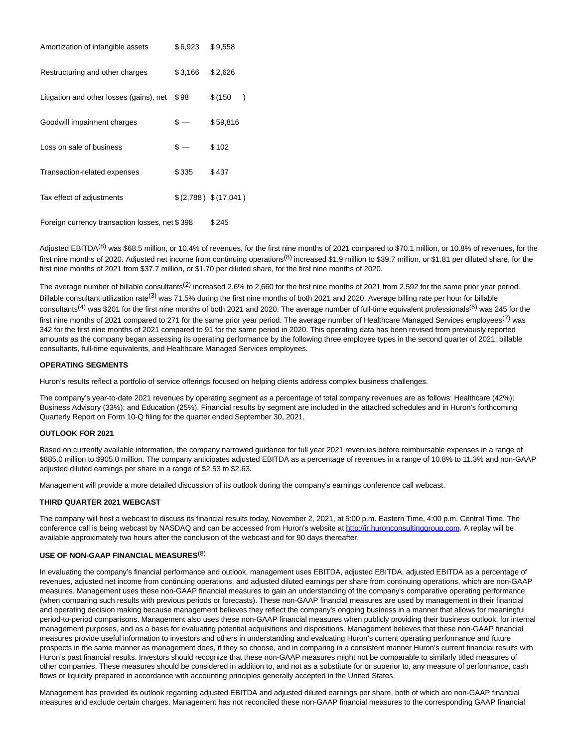| Amortization of intangible assets              | \$6,923 | \$9,558                |
|------------------------------------------------|---------|------------------------|
| Restructuring and other charges                | \$3,166 | \$2,626                |
| Litigation and other losses (gains), net       | \$98    | \$(150)                |
| Goodwill impairment charges                    | $s -$   | \$59,816               |
| Loss on sale of business                       | $s -$   | \$102                  |
| Transaction-related expenses                   | \$335   | \$437                  |
| Tax effect of adjustments                      |         | $$(2,788)$ $$(17,041)$ |
| Foreign currency transaction losses, net \$398 |         | \$245                  |

Adjusted EBITDA<sup>(8)</sup> was \$68.5 million, or 10.4% of revenues, for the first nine months of 2021 compared to \$70.1 million, or 10.8% of revenues, for the first nine months of 2020. Adjusted net income from continuing operations<sup>(8)</sup> increased \$1.9 million to \$39.7 million, or \$1.81 per diluted share, for the first nine months of 2021 from \$37.7 million, or \$1.70 per diluted share, for the first nine months of 2020.

The average number of billable consultants<sup>(2)</sup> increased 2.6% to 2,660 for the first nine months of 2021 from 2,592 for the same prior year period. Billable consultant utilization rate<sup>(3)</sup> was 71.5% during the first nine months of both 2021 and 2020. Average billing rate per hour for billable consultants<sup>(4)</sup> was \$201 for the first nine months of both 2021 and 2020. The average number of full-time equivalent professionals<sup>(6)</sup> was 245 for the first nine months of 2021 compared to 271 for the same prior year period. The average number of Healthcare Managed Services employees<sup>(7)</sup> was 342 for the first nine months of 2021 compared to 91 for the same period in 2020. This operating data has been revised from previously reported amounts as the company began assessing its operating performance by the following three employee types in the second quarter of 2021: billable consultants, full-time equivalents, and Healthcare Managed Services employees.

#### **OPERATING SEGMENTS**

Huron's results reflect a portfolio of service offerings focused on helping clients address complex business challenges.

The company's year-to-date 2021 revenues by operating segment as a percentage of total company revenues are as follows: Healthcare (42%); Business Advisory (33%); and Education (25%). Financial results by segment are included in the attached schedules and in Huron's forthcoming Quarterly Report on Form 10-Q filing for the quarter ended September 30, 2021.

#### **OUTLOOK FOR 2021**

Based on currently available information, the company narrowed guidance for full year 2021 revenues before reimbursable expenses in a range of \$885.0 million to \$905.0 million. The company anticipates adjusted EBITDA as a percentage of revenues in a range of 10.8% to 11.3% and non-GAAP adjusted diluted earnings per share in a range of \$2.53 to \$2.63.

Management will provide a more detailed discussion of its outlook during the company's earnings conference call webcast.

#### **THIRD QUARTER 2021 WEBCAST**

The company will host a webcast to discuss its financial results today, November 2, 2021, at 5:00 p.m. Eastern Time, 4:00 p.m. Central Time. The conference call is being webcast by NASDAQ and can be accessed from Huron's website at [http://ir.huronconsultinggroup.com.](https://cts.businesswire.com/ct/CT?id=smartlink&url=http%3A%2F%2Fir.huronconsultinggroup.com&esheet=52519705&newsitemid=20211102006210&lan=en-US&anchor=http%3A%2F%2Fir.huronconsultinggroup.com&index=3&md5=78cf29952b0f366017776668ee02a7f7) A replay will be available approximately two hours after the conclusion of the webcast and for 90 days thereafter.

#### **USE OF NON-GAAP FINANCIAL MEASURES**(8)

In evaluating the company's financial performance and outlook, management uses EBITDA, adjusted EBITDA, adjusted EBITDA as a percentage of revenues, adjusted net income from continuing operations, and adjusted diluted earnings per share from continuing operations, which are non-GAAP measures. Management uses these non-GAAP financial measures to gain an understanding of the company's comparative operating performance (when comparing such results with previous periods or forecasts). These non-GAAP financial measures are used by management in their financial and operating decision making because management believes they reflect the company's ongoing business in a manner that allows for meaningful period-to-period comparisons. Management also uses these non-GAAP financial measures when publicly providing their business outlook, for internal management purposes, and as a basis for evaluating potential acquisitions and dispositions. Management believes that these non-GAAP financial measures provide useful information to investors and others in understanding and evaluating Huron's current operating performance and future prospects in the same manner as management does, if they so choose, and in comparing in a consistent manner Huron's current financial results with Huron's past financial results. Investors should recognize that these non-GAAP measures might not be comparable to similarly titled measures of other companies. These measures should be considered in addition to, and not as a substitute for or superior to, any measure of performance, cash flows or liquidity prepared in accordance with accounting principles generally accepted in the United States.

Management has provided its outlook regarding adjusted EBITDA and adjusted diluted earnings per share, both of which are non-GAAP financial measures and exclude certain charges. Management has not reconciled these non-GAAP financial measures to the corresponding GAAP financial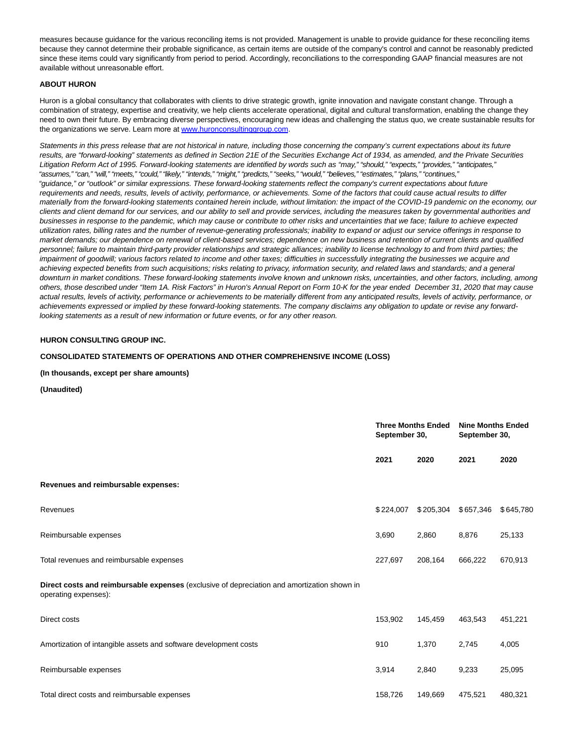measures because guidance for the various reconciling items is not provided. Management is unable to provide guidance for these reconciling items because they cannot determine their probable significance, as certain items are outside of the company's control and cannot be reasonably predicted since these items could vary significantly from period to period. Accordingly, reconciliations to the corresponding GAAP financial measures are not available without unreasonable effort.

#### **ABOUT HURON**

Huron is a global consultancy that collaborates with clients to drive strategic growth, ignite innovation and navigate constant change. Through a combination of strategy, expertise and creativity, we help clients accelerate operational, digital and cultural transformation, enabling the change they need to own their future. By embracing diverse perspectives, encouraging new ideas and challenging the status quo, we create sustainable results for the organizations we serve. Learn more a[t www.huronconsultinggroup.com.](https://cts.businesswire.com/ct/CT?id=smartlink&url=http%3A%2F%2Fwww.huronconsultinggroup.com&esheet=52519705&newsitemid=20211102006210&lan=en-US&anchor=www.huronconsultinggroup.com&index=4&md5=9847bf2eef021244e8f1ad1ffe7c0618)

Statements in this press release that are not historical in nature, including those concerning the company's current expectations about its future results, are "forward-looking" statements as defined in Section 21E of the Securities Exchange Act of 1934, as amended, and the Private Securities Litigation Reform Act of 1995. Forward-looking statements are identified by words such as "may," "should," "expects," "provides," "anticipates," "assumes," "can," "will," "meets," "could," "likely," "intends," "might," "predicts," "seeks," "would," "believes," "estimates," "plans," "continues," "guidance," or "outlook" or similar expressions. These forward-looking statements reflect the company's current expectations about future requirements and needs, results, levels of activity, performance, or achievements. Some of the factors that could cause actual results to differ materially from the forward-looking statements contained herein include, without limitation: the impact of the COVID-19 pandemic on the economy, our clients and client demand for our services, and our ability to sell and provide services, including the measures taken by governmental authorities and businesses in response to the pandemic, which may cause or contribute to other risks and uncertainties that we face; failure to achieve expected utilization rates, billing rates and the number of revenue-generating professionals; inability to expand or adjust our service offerings in response to market demands; our dependence on renewal of client-based services; dependence on new business and retention of current clients and qualified personnel; failure to maintain third-party provider relationships and strategic alliances; inability to license technology to and from third parties; the impairment of goodwill; various factors related to income and other taxes; difficulties in successfully integrating the businesses we acquire and achieving expected benefits from such acquisitions; risks relating to privacy, information security, and related laws and standards; and a general downturn in market conditions. These forward-looking statements involve known and unknown risks, uncertainties, and other factors, including, among others, those described under "Item 1A. Risk Factors" in Huron's Annual Report on Form 10-K for the year ended December 31, 2020 that may cause actual results, levels of activity, performance or achievements to be materially different from any anticipated results, levels of activity, performance, or achievements expressed or implied by these forward-looking statements. The company disclaims any obligation to update or revise any forwardlooking statements as a result of new information or future events, or for any other reason.

#### **HURON CONSULTING GROUP INC.**

#### **CONSOLIDATED STATEMENTS OF OPERATIONS AND OTHER COMPREHENSIVE INCOME (LOSS)**

#### **(In thousands, except per share amounts)**

|                                                                                                                     | <b>Three Months Ended</b><br>September 30, |           | <b>Nine Months Ended</b><br>September 30, |           |  |
|---------------------------------------------------------------------------------------------------------------------|--------------------------------------------|-----------|-------------------------------------------|-----------|--|
|                                                                                                                     | 2021                                       | 2020      | 2021                                      | 2020      |  |
| Revenues and reimbursable expenses:                                                                                 |                                            |           |                                           |           |  |
| Revenues                                                                                                            | \$224,007                                  | \$205,304 | \$657,346                                 | \$645,780 |  |
| Reimbursable expenses                                                                                               | 3,690                                      | 2,860     | 8,876                                     | 25,133    |  |
| Total revenues and reimbursable expenses                                                                            | 227,697                                    | 208,164   | 666,222                                   | 670,913   |  |
| Direct costs and reimbursable expenses (exclusive of depreciation and amortization shown in<br>operating expenses): |                                            |           |                                           |           |  |
| Direct costs                                                                                                        | 153,902                                    | 145,459   | 463,543                                   | 451,221   |  |
| Amortization of intangible assets and software development costs                                                    | 910                                        | 1,370     | 2,745                                     | 4,005     |  |
| Reimbursable expenses                                                                                               | 3,914<br>2,840                             |           | 9,233                                     | 25,095    |  |
| Total direct costs and reimbursable expenses                                                                        | 158,726                                    | 149,669   | 475,521                                   | 480,321   |  |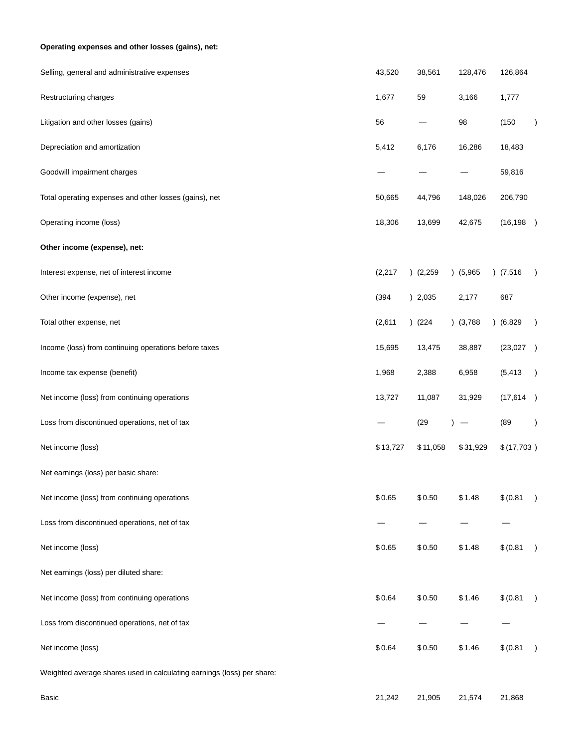# **Operating expenses and other losses (gains), net:**

| Selling, general and administrative expenses                           | 43,520   | 38,561   | 128,476     | 126,864    |               |
|------------------------------------------------------------------------|----------|----------|-------------|------------|---------------|
| Restructuring charges                                                  | 1,677    | 59       | 3,166       | 1,777      |               |
| Litigation and other losses (gains)                                    | 56       |          | 98          | (150)      | $\lambda$     |
| Depreciation and amortization                                          | 5,412    | 6,176    | 16,286      | 18,483     |               |
| Goodwill impairment charges                                            |          |          |             | 59,816     |               |
| Total operating expenses and other losses (gains), net                 | 50,665   | 44,796   | 148,026     | 206,790    |               |
| Operating income (loss)                                                | 18,306   | 13,699   | 42,675      | (16, 198)  |               |
| Other income (expense), net:                                           |          |          |             |            |               |
| Interest expense, net of interest income                               | (2, 217) | (2,259)  | $)$ (5,965) | (7,516)    | $\rightarrow$ |
| Other income (expense), net                                            | (394)    | ) 2,035  | 2,177       | 687        |               |
| Total other expense, net                                               | (2,611)  | ) (224   | (3,788)     | (6,829)    | $\rightarrow$ |
| Income (loss) from continuing operations before taxes                  | 15,695   | 13,475   | 38,887      | (23,027)   |               |
| Income tax expense (benefit)                                           | 1,968    | 2,388    | 6,958       | (5, 413)   | $\rightarrow$ |
| Net income (loss) from continuing operations                           | 13,727   | 11,087   | 31,929      | (17, 614)  |               |
| Loss from discontinued operations, net of tax                          |          | (29)     |             | (89)       | $\mathcal{E}$ |
| Net income (loss)                                                      | \$13,727 | \$11,058 | \$31,929    | \$(17,703) |               |
| Net earnings (loss) per basic share:                                   |          |          |             |            |               |
| Net income (loss) from continuing operations                           | \$0.65   | \$0.50   | \$1.48      | \$ (0.81)  | $\rightarrow$ |
| Loss from discontinued operations, net of tax                          |          |          |             |            |               |
| Net income (loss)                                                      | \$0.65   | \$0.50   | \$1.48      | \$ (0.81)  | $\rightarrow$ |
| Net earnings (loss) per diluted share:                                 |          |          |             |            |               |
| Net income (loss) from continuing operations                           | \$0.64   | \$0.50   | \$1.46      | \$ (0.81)  | $\rightarrow$ |
| Loss from discontinued operations, net of tax                          |          |          |             |            |               |
| Net income (loss)                                                      | \$0.64   | \$0.50   | \$1.46      | \$ (0.81)  | $\rightarrow$ |
| Weighted average shares used in calculating earnings (loss) per share: |          |          |             |            |               |
|                                                                        |          |          |             |            |               |

Basic 21,242 21,905 21,574 21,868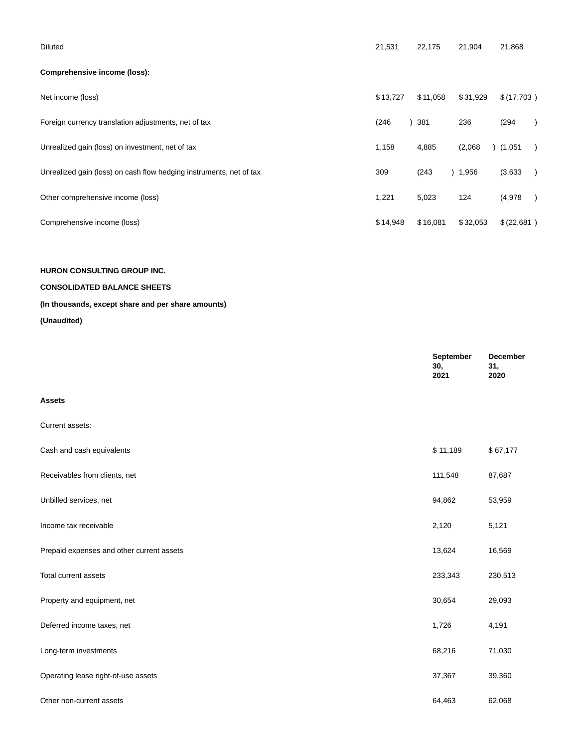| Diluted                                                             | 21,531   | 22,175   | 21,904   | 21,868                   |  |
|---------------------------------------------------------------------|----------|----------|----------|--------------------------|--|
| Comprehensive income (loss):                                        |          |          |          |                          |  |
| Net income (loss)                                                   | \$13,727 | \$11,058 | \$31,929 | \$(17,703)               |  |
| Foreign currency translation adjustments, net of tax                | (246)    | 381      | 236      | (294)                    |  |
| Unrealized gain (loss) on investment, net of tax                    | 1,158    | 4,885    | (2,068)  | (1,051)<br>$\lambda$     |  |
| Unrealized gain (loss) on cash flow hedging instruments, net of tax | 309      | (243)    | 1,956    | (3,633)<br>$\rightarrow$ |  |
| Other comprehensive income (loss)                                   | 1,221    | 5,023    | 124      | (4,978)<br>$\lambda$     |  |
| Comprehensive income (loss)                                         | \$14,948 | \$16,081 | \$32,053 | \$(22,681)               |  |

# **CONSOLIDATED BALANCE SHEETS**

# **(In thousands, except share and per share amounts)**

|                                           | September<br>30,<br>2021 | December<br>31,<br>2020 |
|-------------------------------------------|--------------------------|-------------------------|
| <b>Assets</b>                             |                          |                         |
| Current assets:                           |                          |                         |
| Cash and cash equivalents                 | \$11,189                 | \$67,177                |
| Receivables from clients, net             | 111,548                  | 87,687                  |
| Unbilled services, net                    | 94,862                   | 53,959                  |
| Income tax receivable                     | 2,120                    | 5,121                   |
| Prepaid expenses and other current assets | 13,624                   | 16,569                  |
| Total current assets                      | 233,343                  | 230,513                 |
| Property and equipment, net               | 30,654                   | 29,093                  |
| Deferred income taxes, net                | 1,726                    | 4,191                   |
| Long-term investments                     | 68,216                   | 71,030                  |
| Operating lease right-of-use assets       | 37,367                   | 39,360                  |
| Other non-current assets                  | 64,463                   | 62,068                  |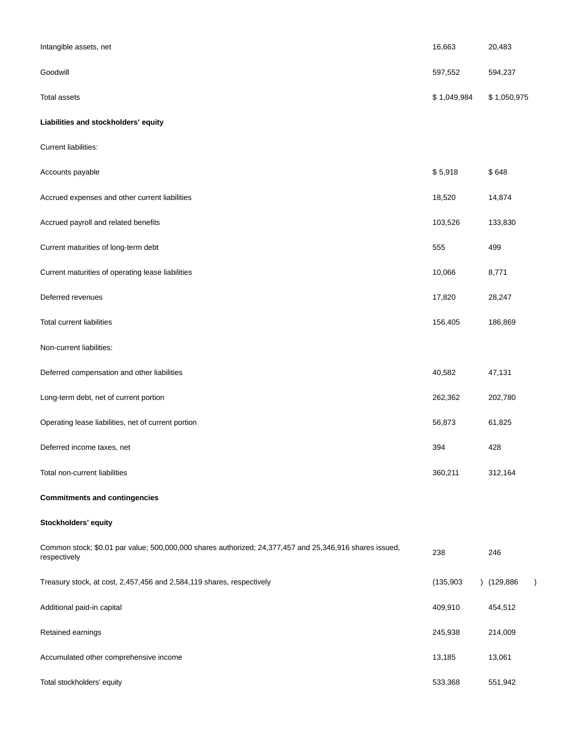| Intangible assets, net                                                                                                  | 16,663      | 20,483                  |
|-------------------------------------------------------------------------------------------------------------------------|-------------|-------------------------|
| Goodwill                                                                                                                | 597,552     | 594,237                 |
| <b>Total assets</b>                                                                                                     | \$1,049,984 | \$1,050,975             |
| Liabilities and stockholders' equity                                                                                    |             |                         |
| Current liabilities:                                                                                                    |             |                         |
| Accounts payable                                                                                                        | \$5,918     | \$648                   |
| Accrued expenses and other current liabilities                                                                          | 18,520      | 14,874                  |
| Accrued payroll and related benefits                                                                                    | 103,526     | 133,830                 |
| Current maturities of long-term debt                                                                                    | 555         | 499                     |
| Current maturities of operating lease liabilities                                                                       | 10,066      | 8,771                   |
| Deferred revenues                                                                                                       | 17,820      | 28,247                  |
| <b>Total current liabilities</b>                                                                                        | 156,405     | 186,869                 |
| Non-current liabilities:                                                                                                |             |                         |
| Deferred compensation and other liabilities                                                                             | 40,582      | 47,131                  |
| Long-term debt, net of current portion                                                                                  | 262,362     | 202,780                 |
| Operating lease liabilities, net of current portion                                                                     | 56,873      | 61,825                  |
| Deferred income taxes, net                                                                                              | 394         | 428                     |
| Total non-current liabilities                                                                                           | 360,211     | 312,164                 |
| <b>Commitments and contingencies</b>                                                                                    |             |                         |
| Stockholders' equity                                                                                                    |             |                         |
| Common stock; \$0.01 par value; 500,000,000 shares authorized; 24,377,457 and 25,346,916 shares issued,<br>respectively | 238         | 246                     |
| Treasury stock, at cost, 2,457,456 and 2,584,119 shares, respectively                                                   | (135, 903)  | ) (129,886<br>$\lambda$ |
| Additional paid-in capital                                                                                              | 409,910     | 454,512                 |
| Retained earnings                                                                                                       | 245,938     | 214,009                 |
| Accumulated other comprehensive income                                                                                  | 13,185      | 13,061                  |
| Total stockholders' equity                                                                                              | 533,368     | 551,942                 |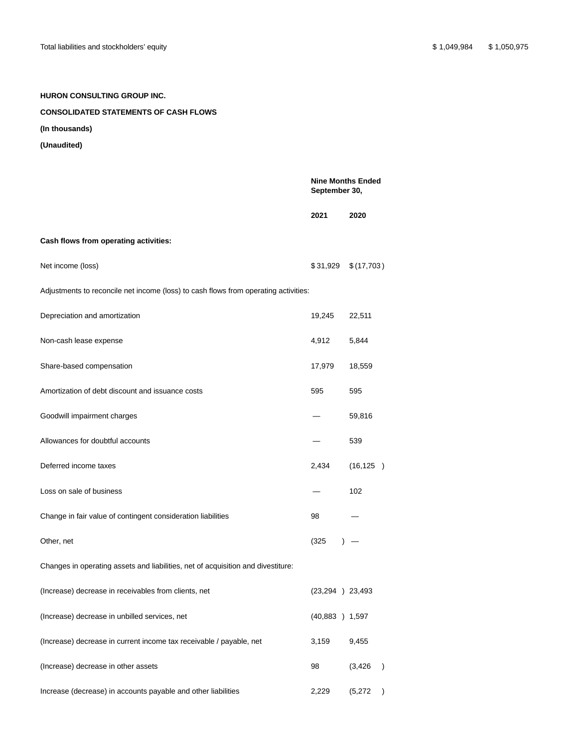#### **CONSOLIDATED STATEMENTS OF CASH FLOWS**

- **(In thousands)**
- **(Unaudited)**

|                                                                                     | <b>Nine Months Ended</b><br>September 30, |                           |  |
|-------------------------------------------------------------------------------------|-------------------------------------------|---------------------------|--|
|                                                                                     | 2021                                      | 2020                      |  |
| Cash flows from operating activities:                                               |                                           |                           |  |
| Net income (loss)                                                                   | \$31,929                                  | \$(17,703)                |  |
| Adjustments to reconcile net income (loss) to cash flows from operating activities: |                                           |                           |  |
| Depreciation and amortization                                                       | 19,245                                    | 22,511                    |  |
| Non-cash lease expense                                                              | 4,912                                     | 5,844                     |  |
| Share-based compensation                                                            | 17,979                                    | 18,559                    |  |
| Amortization of debt discount and issuance costs                                    | 595                                       | 595                       |  |
| Goodwill impairment charges                                                         |                                           | 59,816                    |  |
| Allowances for doubtful accounts                                                    |                                           | 539                       |  |
| Deferred income taxes                                                               | 2,434                                     | (16, 125)                 |  |
| Loss on sale of business                                                            |                                           | 102                       |  |
| Change in fair value of contingent consideration liabilities                        | 98                                        |                           |  |
| Other, net                                                                          | (325)                                     |                           |  |
| Changes in operating assets and liabilities, net of acquisition and divestiture:    |                                           |                           |  |
| (Increase) decrease in receivables from clients, net                                | (23,294 ) 23,493                          |                           |  |
| (Increase) decrease in unbilled services, net                                       | (40,883) 1,597                            |                           |  |
| (Increase) decrease in current income tax receivable / payable, net                 | 3,159                                     | 9,455                     |  |
| (Increase) decrease in other assets                                                 | 98                                        | (3, 426)<br>$\mathcal{E}$ |  |
| Increase (decrease) in accounts payable and other liabilities                       | 2,229                                     | (5,272)<br>$\lambda$      |  |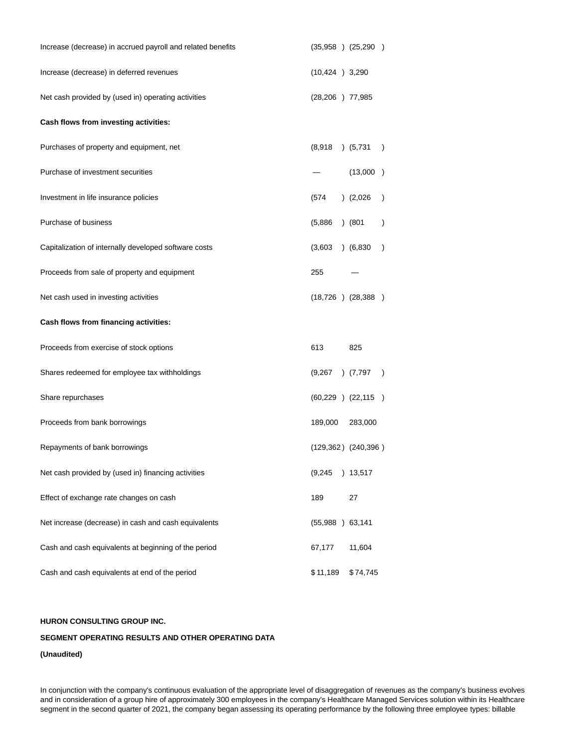| Increase (decrease) in accrued payroll and related benefits |                   | $(35,958)$ $(25,290)$   |               |
|-------------------------------------------------------------|-------------------|-------------------------|---------------|
| Increase (decrease) in deferred revenues                    | $(10,424)$ 3,290  |                         |               |
| Net cash provided by (used in) operating activities         | (28,206 ) 77,985  |                         |               |
| Cash flows from investing activities:                       |                   |                         |               |
| Purchases of property and equipment, net                    | (8,918)           | ) (5,731                | $\rightarrow$ |
| Purchase of investment securities                           |                   | (13,000)                |               |
| Investment in life insurance policies                       | (574              | (2,026)                 | $\lambda$     |
| Purchase of business                                        | (5,886)           | $)$ (801                | $\lambda$     |
| Capitalization of internally developed software costs       | (3,603)           | (6, 830)                | $\mathcal{L}$ |
| Proceeds from sale of property and equipment                | 255               |                         |               |
| Net cash used in investing activities                       |                   | $(18,726)$ $(28,388)$   |               |
| Cash flows from financing activities:                       |                   |                         |               |
| Proceeds from exercise of stock options                     | 613               | 825                     |               |
| Shares redeemed for employee tax withholdings               | (9,267)           | (7,797)                 | $\rightarrow$ |
| Share repurchases                                           |                   | $(60,229)$ $(22,115)$   |               |
| Proceeds from bank borrowings                               | 189,000           | 283,000                 |               |
| Repayments of bank borrowings                               |                   | $(129,362)$ $(240,396)$ |               |
| Net cash provided by (used in) financing activities         | (9,245)           | ) 13,517                |               |
| Effect of exchange rate changes on cash                     | 189               | 27                      |               |
| Net increase (decrease) in cash and cash equivalents        | $(55,988)$ 63,141 |                         |               |
| Cash and cash equivalents at beginning of the period        | 67,177            | 11,604                  |               |
| Cash and cash equivalents at end of the period              | \$11,189          | \$74,745                |               |

#### **SEGMENT OPERATING RESULTS AND OTHER OPERATING DATA**

# **(Unaudited)**

In conjunction with the company's continuous evaluation of the appropriate level of disaggregation of revenues as the company's business evolves and in consideration of a group hire of approximately 300 employees in the company's Healthcare Managed Services solution within its Healthcare segment in the second quarter of 2021, the company began assessing its operating performance by the following three employee types: billable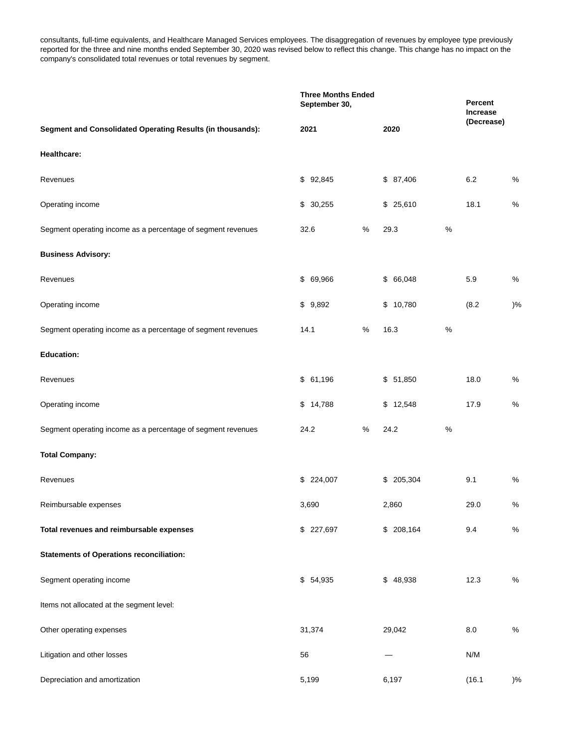consultants, full-time equivalents, and Healthcare Managed Services employees. The disaggregation of revenues by employee type previously reported for the three and nine months ended September 30, 2020 was revised below to reflect this change. This change has no impact on the company's consolidated total revenues or total revenues by segment.

|                                                              | <b>Three Months Ended</b><br>September 30, |      |              |      | Percent<br><b>Increase</b> |       |  |
|--------------------------------------------------------------|--------------------------------------------|------|--------------|------|----------------------------|-------|--|
| Segment and Consolidated Operating Results (in thousands):   | 2021                                       |      | 2020         |      | (Decrease)                 |       |  |
| Healthcare:                                                  |                                            |      |              |      |                            |       |  |
| Revenues                                                     | \$92,845                                   |      | \$87,406     |      | 6.2                        | $\%$  |  |
| Operating income                                             | \$30,255                                   |      | \$25,610     |      | 18.1                       | $\%$  |  |
| Segment operating income as a percentage of segment revenues | 32.6                                       | $\%$ | 29.3         | %    |                            |       |  |
| <b>Business Advisory:</b>                                    |                                            |      |              |      |                            |       |  |
| Revenues                                                     | \$69,966                                   |      | \$66,048     |      | 5.9                        | $\%$  |  |
| Operating income                                             | 9,892<br>\$                                |      | \$<br>10,780 |      | (8.2)                      | $)$ % |  |
| Segment operating income as a percentage of segment revenues | 14.1                                       | $\%$ | 16.3         | $\%$ |                            |       |  |
| <b>Education:</b>                                            |                                            |      |              |      |                            |       |  |
| Revenues                                                     | \$61,196                                   |      | \$51,850     |      | 18.0                       | $\%$  |  |
| Operating income                                             | \$14,788                                   |      | \$12,548     |      | 17.9                       | $\%$  |  |
| Segment operating income as a percentage of segment revenues | 24.2                                       | $\%$ | 24.2         | $\%$ |                            |       |  |
| <b>Total Company:</b>                                        |                                            |      |              |      |                            |       |  |
| Revenues                                                     | \$224,007                                  |      | \$205,304    |      | 9.1                        | $\%$  |  |
| Reimbursable expenses                                        | 3,690                                      |      | 2,860        |      | 29.0                       | $\%$  |  |
| Total revenues and reimbursable expenses                     | \$ 227,697                                 |      | \$208,164    |      | 9.4                        | $\%$  |  |
| <b>Statements of Operations reconciliation:</b>              |                                            |      |              |      |                            |       |  |
| Segment operating income                                     | \$54,935                                   |      | \$48,938     |      | 12.3                       | $\%$  |  |
| Items not allocated at the segment level:                    |                                            |      |              |      |                            |       |  |
| Other operating expenses                                     | 31,374                                     |      | 29,042       |      | 8.0                        | $\%$  |  |
| Litigation and other losses                                  | 56                                         |      |              |      | N/M                        |       |  |
| Depreciation and amortization                                | 5,199                                      |      | 6,197        |      | (16.1)                     | $)$ % |  |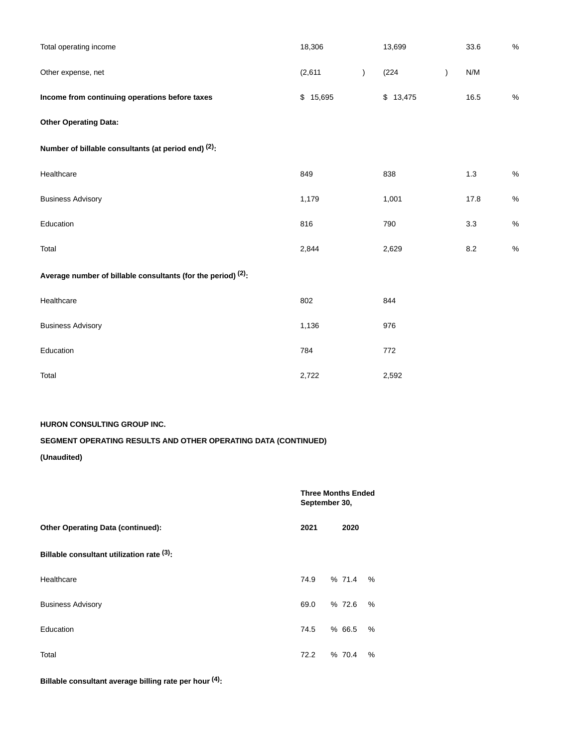| Total operating income                                       | 18,306   |         | 13,699   |           | 33.6  | $\%$ |
|--------------------------------------------------------------|----------|---------|----------|-----------|-------|------|
| Other expense, net                                           | (2,611)  | $\big)$ | (224)    | $\lambda$ | N/M   |      |
| Income from continuing operations before taxes               | \$15,695 |         | \$13,475 |           | 16.5  | $\%$ |
| <b>Other Operating Data:</b>                                 |          |         |          |           |       |      |
| Number of billable consultants (at period end) (2):          |          |         |          |           |       |      |
| Healthcare                                                   | 849      |         | 838      |           | $1.3$ | $\%$ |
| <b>Business Advisory</b>                                     | 1,179    |         | 1,001    |           | 17.8  | $\%$ |
| Education                                                    | 816      |         | 790      |           | 3.3   | $\%$ |
| Total                                                        | 2,844    |         | 2,629    |           | 8.2   | $\%$ |
| Average number of billable consultants (for the period) (2): |          |         |          |           |       |      |
| Healthcare                                                   | 802      |         | 844      |           |       |      |
| <b>Business Advisory</b>                                     | 1,136    |         | 976      |           |       |      |
| Education                                                    | 784      |         | 772      |           |       |      |
| Total                                                        | 2,722    |         | 2,592    |           |       |      |

# **SEGMENT OPERATING RESULTS AND OTHER OPERATING DATA (CONTINUED)**

# **(Unaudited)**

|                                           | <b>Three Months Ended</b><br>September 30, |       |      |
|-------------------------------------------|--------------------------------------------|-------|------|
| <b>Other Operating Data (continued):</b>  | 2021                                       | 2020  |      |
| Billable consultant utilization rate (3): |                                            |       |      |
| Healthcare                                | 74.9                                       | %71.4 | %    |
| <b>Business Advisory</b>                  | 69.0                                       | %72.6 | %    |
| Education                                 | 74.5                                       | %66.5 | %    |
| Total                                     | 72.2                                       | %70.4 | $\%$ |

**Billable consultant average billing rate per hour (4):**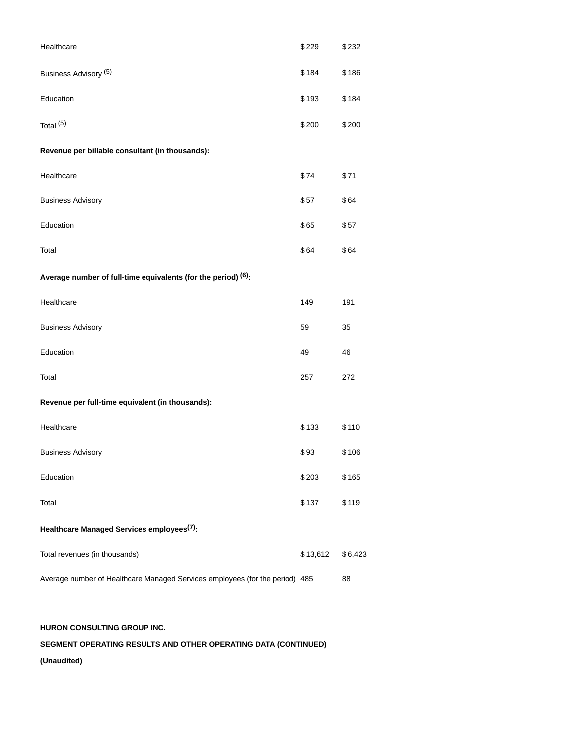| Healthcare                                                                   | \$229    | \$232   |
|------------------------------------------------------------------------------|----------|---------|
| Business Advisory (5)                                                        | \$184    | \$186   |
| Education                                                                    | \$193    | \$184   |
| Total <sup>(5)</sup>                                                         | \$200    | \$200   |
| Revenue per billable consultant (in thousands):                              |          |         |
| Healthcare                                                                   | \$74     | \$71    |
| <b>Business Advisory</b>                                                     | \$57     | \$64    |
| Education                                                                    | \$65     | \$57    |
| Total                                                                        | \$64     | \$64    |
| Average number of full-time equivalents (for the period) (6):                |          |         |
| Healthcare                                                                   | 149      | 191     |
| <b>Business Advisory</b>                                                     | 59       | 35      |
| Education                                                                    | 49       | 46      |
| Total                                                                        | 257      | 272     |
| Revenue per full-time equivalent (in thousands):                             |          |         |
| Healthcare                                                                   | \$133    | \$110   |
| <b>Business Advisory</b>                                                     | \$93     | \$106   |
| Education                                                                    | \$203    | \$165   |
| Total                                                                        | \$137    | \$119   |
| Healthcare Managed Services employees <sup>(7)</sup> :                       |          |         |
| Total revenues (in thousands)                                                | \$13,612 | \$6,423 |
| Average number of Healthcare Managed Services employees (for the period) 485 |          | 88      |

**SEGMENT OPERATING RESULTS AND OTHER OPERATING DATA (CONTINUED)**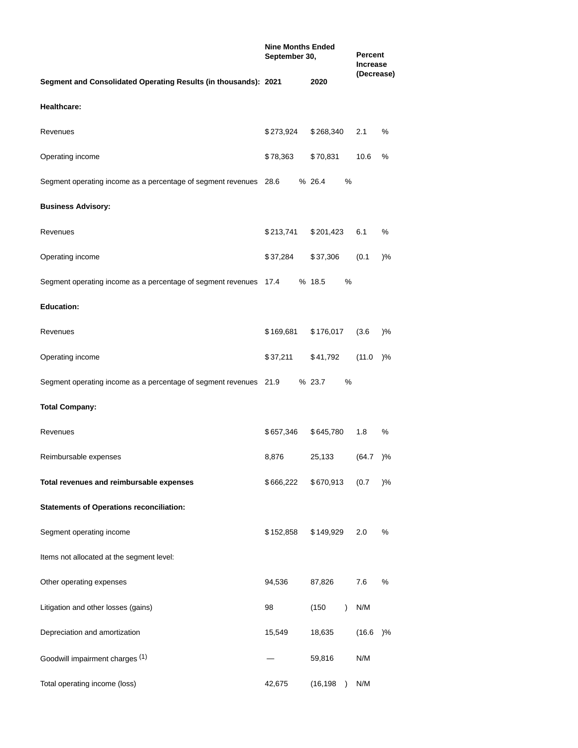|                                                                   | <b>Nine Months Ended</b><br>September 30, | <b>Percent</b><br><b>Increase</b> |            |               |
|-------------------------------------------------------------------|-------------------------------------------|-----------------------------------|------------|---------------|
| Segment and Consolidated Operating Results (in thousands): 2021   |                                           | 2020                              | (Decrease) |               |
| Healthcare:                                                       |                                           |                                   |            |               |
| Revenues                                                          | \$273,924                                 | \$268,340                         | 2.1        | %             |
| Operating income                                                  | \$78,363                                  | \$70,831                          | 10.6       | %             |
| Segment operating income as a percentage of segment revenues 28.6 |                                           | % 26.4<br>$\%$                    |            |               |
| <b>Business Advisory:</b>                                         |                                           |                                   |            |               |
| Revenues                                                          | \$213,741                                 | \$201,423                         | 6.1        | %             |
| Operating income                                                  | \$37,284                                  | \$37,306                          | (0.1)      | $)\%$         |
| Segment operating income as a percentage of segment revenues 17.4 |                                           | % 18.5<br>℅                       |            |               |
| <b>Education:</b>                                                 |                                           |                                   |            |               |
| Revenues                                                          | \$169,681                                 | \$176,017                         | (3.6)      | $)\%$         |
| Operating income                                                  | \$37,211                                  | \$41,792                          | (11.0)     | $\frac{9}{6}$ |
| Segment operating income as a percentage of segment revenues 21.9 |                                           | %<br>% 23.7                       |            |               |
| <b>Total Company:</b>                                             |                                           |                                   |            |               |
| Revenues                                                          | \$657,346                                 | \$645,780                         | 1.8        | %             |
| Reimbursable expenses                                             | 8,876                                     | 25,133                            | (64.7)     | $)\%$         |
| Total revenues and reimbursable expenses                          | \$666,222                                 | \$670,913                         | (0.7)      | $\frac{9}{6}$ |
| <b>Statements of Operations reconciliation:</b>                   |                                           |                                   |            |               |
| Segment operating income                                          | \$152,858                                 | \$149,929                         | 2.0        | %             |
| Items not allocated at the segment level:                         |                                           |                                   |            |               |
| Other operating expenses                                          | 94,536                                    | 87,826                            | 7.6        | %             |
| Litigation and other losses (gains)                               | 98                                        | (150)<br>$\lambda$                | N/M        |               |
| Depreciation and amortization                                     | 15,549                                    | 18,635                            | (16.6)     | )%            |
| Goodwill impairment charges (1)                                   |                                           | 59,816                            | N/M        |               |
| Total operating income (loss)                                     | 42,675                                    | (16, 198)                         | N/M        |               |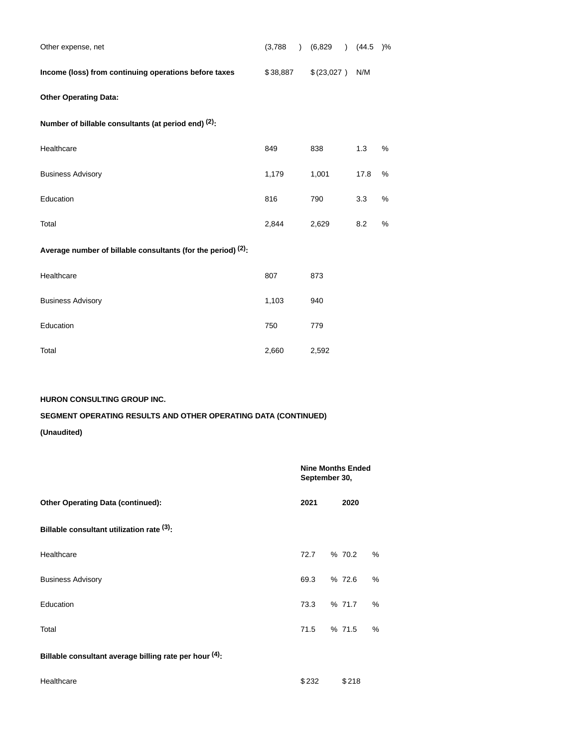| Other expense, net                                           | (3,788)<br>$\rightarrow$ | (6,829)<br>$\overline{)}$ | (44.5 | $) \%$ |
|--------------------------------------------------------------|--------------------------|---------------------------|-------|--------|
| Income (loss) from continuing operations before taxes        | \$38,887                 | \$(23,027)                | N/M   |        |
| <b>Other Operating Data:</b>                                 |                          |                           |       |        |
| Number of billable consultants (at period end) (2):          |                          |                           |       |        |
| Healthcare                                                   | 849                      | 838                       | 1.3   | %      |
| <b>Business Advisory</b>                                     | 1,179                    | 1,001                     | 17.8  | %      |
| Education                                                    | 816                      | 790                       | 3.3   | %      |
| Total                                                        | 2,844                    | 2,629                     | 8.2   | %      |
| Average number of billable consultants (for the period) (2): |                          |                           |       |        |
| Healthcare                                                   | 807                      | 873                       |       |        |
| <b>Business Advisory</b>                                     | 1,103                    | 940                       |       |        |
| Education                                                    | 750                      | 779                       |       |        |
| Total                                                        | 2,660                    | 2,592                     |       |        |

# **SEGMENT OPERATING RESULTS AND OTHER OPERATING DATA (CONTINUED)**

|                                                        |       | <b>Nine Months Ended</b><br>September 30, |        |      |  |  |
|--------------------------------------------------------|-------|-------------------------------------------|--------|------|--|--|
| <b>Other Operating Data (continued):</b>               | 2021  |                                           | 2020   |      |  |  |
| Billable consultant utilization rate (3).              |       |                                           |        |      |  |  |
| Healthcare                                             | 72.7  |                                           | %70.2  | %    |  |  |
| <b>Business Advisory</b>                               | 69.3  |                                           | % 72.6 | $\%$ |  |  |
| Education                                              | 73.3  |                                           | %71.7  | %    |  |  |
| Total                                                  | 71.5  |                                           | %71.5  | %    |  |  |
| Billable consultant average billing rate per hour (4): |       |                                           |        |      |  |  |
| Healthcare                                             | \$232 |                                           | \$218  |      |  |  |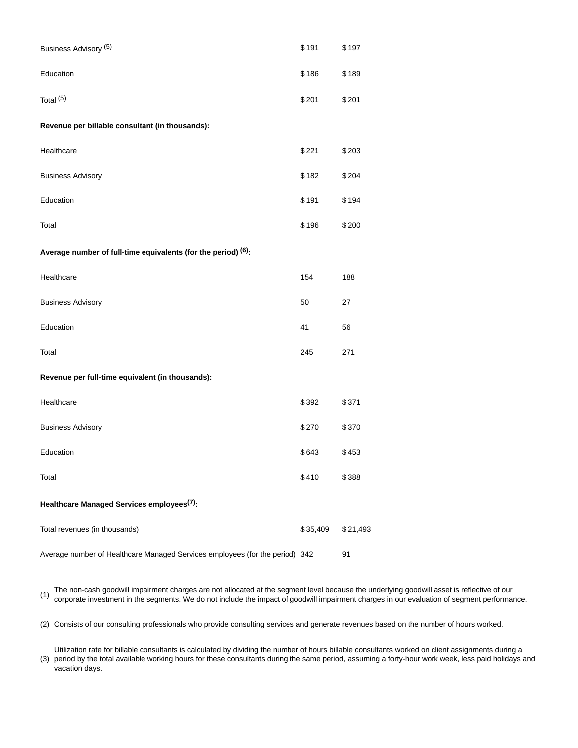| Business Advisory (5)                                                        | \$191    | \$197    |
|------------------------------------------------------------------------------|----------|----------|
| Education                                                                    | \$186    | \$189    |
| Total <sup>(5)</sup>                                                         | \$201    | \$201    |
| Revenue per billable consultant (in thousands):                              |          |          |
| Healthcare                                                                   | \$221    | \$203    |
| <b>Business Advisory</b>                                                     | \$182    | \$204    |
| Education                                                                    | \$191    | \$194    |
| Total                                                                        | \$196    | \$200    |
| Average number of full-time equivalents (for the period) (6):                |          |          |
| Healthcare                                                                   | 154      | 188      |
| <b>Business Advisory</b>                                                     | 50       | 27       |
| Education                                                                    | 41       | 56       |
| Total                                                                        | 245      | 271      |
| Revenue per full-time equivalent (in thousands):                             |          |          |
| Healthcare                                                                   | \$392    | \$371    |
| <b>Business Advisory</b>                                                     | \$270    | \$370    |
| Education                                                                    | \$643    | \$453    |
| Total                                                                        | \$410    | \$388    |
| Healthcare Managed Services employees <sup>(7)</sup> :                       |          |          |
| Total revenues (in thousands)                                                | \$35,409 | \$21,493 |
| Average number of Healthcare Managed Services employees (for the period) 342 |          | 91       |

(1) The non-cash goodwill impairment charges are not allocated at the segment level because the underlying goodwill asset is reflective of our<br>Corporate investment in the segments. We do not include the impact of goodwill corporate investment in the segments. We do not include the impact of goodwill impairment charges in our evaluation of segment performance.

(2) Consists of our consulting professionals who provide consulting services and generate revenues based on the number of hours worked.

(3) Utilization rate for billable consultants is calculated by dividing the number of hours billable consultants worked on client assignments during a period by the total available working hours for these consultants during the same period, assuming a forty-hour work week, less paid holidays and vacation days.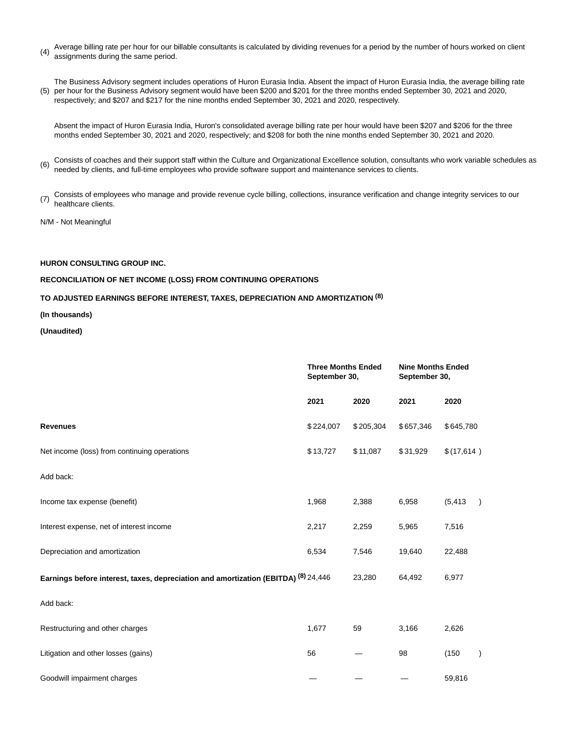(4) Average billing rate per hour for our billable consultants is calculated by dividing revenues for a period by the number of hours worked on client assignments during the same period.

(5) per hour for the Business Advisory segment would have been \$200 and \$201 for the three months ended September 30, 2021 and 2020, The Business Advisory segment includes operations of Huron Eurasia India. Absent the impact of Huron Eurasia India, the average billing rate respectively; and \$207 and \$217 for the nine months ended September 30, 2021 and 2020, respectively.

Absent the impact of Huron Eurasia India, Huron's consolidated average billing rate per hour would have been \$207 and \$206 for the three months ended September 30, 2021 and 2020, respectively; and \$208 for both the nine months ended September 30, 2021 and 2020.

- (6) Consists of coaches and their support staff within the Culture and Organizational Excellence solution, consultants who work variable schedules as needed by clients, and full-time employees who provide software support and maintenance services to clients.
- (7) Consists of employees who manage and provide revenue cycle billing, collections, insurance verification and change integrity services to our<br>beathboare eligate healthcare clients.

N/M - Not Meaningful

#### **HURON CONSULTING GROUP INC.**

#### **RECONCILIATION OF NET INCOME (LOSS) FROM CONTINUING OPERATIONS**

#### **TO ADJUSTED EARNINGS BEFORE INTEREST, TAXES, DEPRECIATION AND AMORTIZATION (8)**

- **(In thousands)**
- **(Unaudited)**

|                                                                                    | <b>Three Months Ended</b><br>September 30, |           | <b>Nine Months Ended</b><br>September 30, |            |           |
|------------------------------------------------------------------------------------|--------------------------------------------|-----------|-------------------------------------------|------------|-----------|
|                                                                                    | 2021                                       | 2020      | 2021                                      | 2020       |           |
| <b>Revenues</b>                                                                    | \$224,007                                  | \$205,304 | \$657,346                                 | \$645,780  |           |
| Net income (loss) from continuing operations                                       | \$13,727                                   | \$11,087  | \$31,929                                  | \$(17,614) |           |
| Add back:                                                                          |                                            |           |                                           |            |           |
| Income tax expense (benefit)                                                       | 1,968                                      | 2,388     | 6,958                                     | (5, 413)   | $\lambda$ |
| Interest expense, net of interest income                                           | 2,217                                      | 2,259     | 5,965                                     | 7,516      |           |
| Depreciation and amortization                                                      | 6,534                                      | 7,546     | 19,640                                    | 22,488     |           |
| Earnings before interest, taxes, depreciation and amortization (EBITDA) (8) 24,446 |                                            | 23,280    | 64,492                                    | 6,977      |           |
| Add back:                                                                          |                                            |           |                                           |            |           |
| Restructuring and other charges                                                    | 1,677                                      | 59        | 3,166                                     | 2,626      |           |
| Litigation and other losses (gains)                                                | 56                                         |           | 98                                        | (150)      |           |
| Goodwill impairment charges                                                        |                                            |           |                                           | 59,816     |           |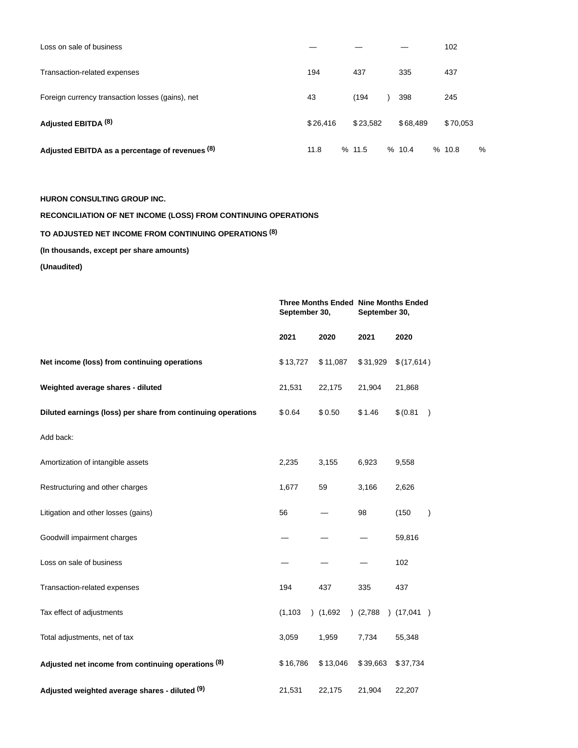| Adjusted EBITDA as a percentage of revenues (8)  | 11.8     | %11.5    | % 10.4   | %10.8    | % |
|--------------------------------------------------|----------|----------|----------|----------|---|
| Adjusted EBITDA (8)                              | \$26,416 | \$23,582 | \$68,489 | \$70,053 |   |
| Foreign currency transaction losses (gains), net | 43       | (194)    | 398      | 245      |   |
| Transaction-related expenses                     | 194      | 437      | 335      | 437      |   |
| Loss on sale of business                         |          |          |          | 102      |   |

# **RECONCILIATION OF NET INCOME (LOSS) FROM CONTINUING OPERATIONS**

# **TO ADJUSTED NET INCOME FROM CONTINUING OPERATIONS (8)**

**(In thousands, except per share amounts)**

|                                                              | <b>Three Months Ended Nine Months Ended</b><br>September 30, |          | September 30, |                        |
|--------------------------------------------------------------|--------------------------------------------------------------|----------|---------------|------------------------|
|                                                              | 2021                                                         | 2020     | 2021          | 2020                   |
| Net income (loss) from continuing operations                 | \$13,727                                                     | \$11,087 | \$31,929      | \$(17,614)             |
| Weighted average shares - diluted                            | 21,531                                                       | 22,175   | 21,904        | 21,868                 |
| Diluted earnings (loss) per share from continuing operations | \$0.64                                                       | \$0.50   | \$1.46        | \$ (0.81)<br>$\lambda$ |
| Add back:                                                    |                                                              |          |               |                        |
| Amortization of intangible assets                            | 2,235                                                        | 3,155    | 6,923         | 9,558                  |
| Restructuring and other charges                              | 1,677                                                        | 59       | 3,166         | 2,626                  |
| Litigation and other losses (gains)                          | 56                                                           |          | 98            | (150)<br>$\mathcal{E}$ |
| Goodwill impairment charges                                  |                                                              |          |               | 59,816                 |
| Loss on sale of business                                     |                                                              |          |               | 102                    |
| Transaction-related expenses                                 | 194                                                          | 437      | 335           | 437                    |
| Tax effect of adjustments                                    | (1, 103)                                                     | (1,692)  | (2,788)       | (17,041)               |
| Total adjustments, net of tax                                | 3,059                                                        | 1,959    | 7,734         | 55,348                 |
| Adjusted net income from continuing operations (8)           | \$16,786                                                     | \$13,046 | \$39,663      | \$37,734               |
| Adjusted weighted average shares - diluted (9)               | 21,531                                                       | 22,175   | 21,904        | 22,207                 |